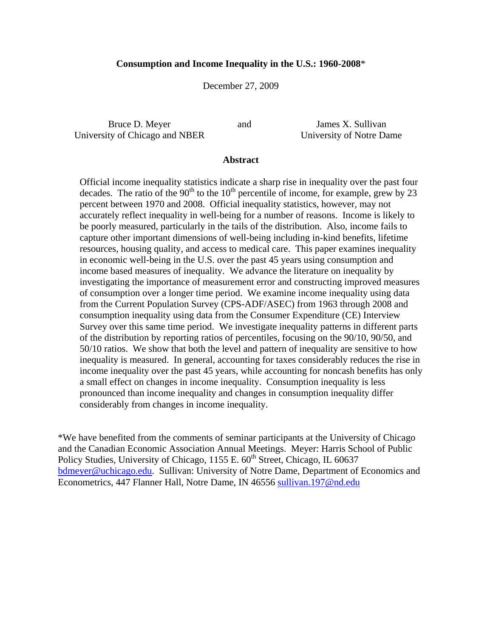### **Consumption and Income Inequality in the U.S.: 1960-2008**\*

December 27, 2009

Bruce D. Meyer University of Chicago and NBER

and James X. Sullivan University of Notre Dame

### **Abstract**

Official income inequality statistics indicate a sharp rise in inequality over the past four decades. The ratio of the 90<sup>th</sup> to the 10<sup>th</sup> percentile of income, for example, grew by 23 percent between 1970 and 2008. Official inequality statistics, however, may not accurately reflect inequality in well-being for a number of reasons. Income is likely to be poorly measured, particularly in the tails of the distribution. Also, income fails to capture other important dimensions of well-being including in-kind benefits, lifetime resources, housing quality, and access to medical care. This paper examines inequality in economic well-being in the U.S. over the past 45 years using consumption and income based measures of inequality. We advance the literature on inequality by investigating the importance of measurement error and constructing improved measures of consumption over a longer time period. We examine income inequality using data from the Current Population Survey (CPS-ADF/ASEC) from 1963 through 2008 and consumption inequality using data from the Consumer Expenditure (CE) Interview Survey over this same time period. We investigate inequality patterns in different parts of the distribution by reporting ratios of percentiles, focusing on the 90/10, 90/50, and 50/10 ratios. We show that both the level and pattern of inequality are sensitive to how inequality is measured. In general, accounting for taxes considerably reduces the rise in income inequality over the past 45 years, while accounting for noncash benefits has only a small effect on changes in income inequality. Consumption inequality is less pronounced than income inequality and changes in consumption inequality differ considerably from changes in income inequality.

\*We have benefited from the comments of seminar participants at the University of Chicago and the Canadian Economic Association Annual Meetings. Meyer: Harris School of Public Policy Studies, University of Chicago, 1155 E. 60<sup>th</sup> Street, Chicago, IL 60637 bdmeyer@uchicago.edu. Sullivan: University of Notre Dame, Department of Economics and Econometrics, 447 Flanner Hall, Notre Dame, IN 46556 sullivan.197@nd.edu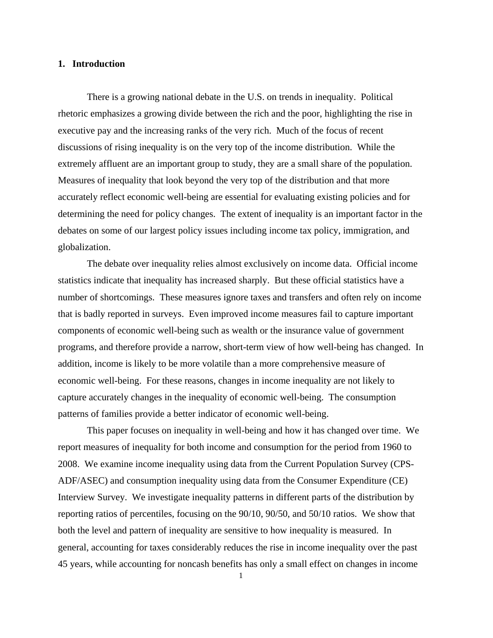### **1. Introduction**

 There is a growing national debate in the U.S. on trends in inequality. Political rhetoric emphasizes a growing divide between the rich and the poor, highlighting the rise in executive pay and the increasing ranks of the very rich. Much of the focus of recent discussions of rising inequality is on the very top of the income distribution. While the extremely affluent are an important group to study, they are a small share of the population. Measures of inequality that look beyond the very top of the distribution and that more accurately reflect economic well-being are essential for evaluating existing policies and for determining the need for policy changes. The extent of inequality is an important factor in the debates on some of our largest policy issues including income tax policy, immigration, and globalization.

The debate over inequality relies almost exclusively on income data. Official income statistics indicate that inequality has increased sharply. But these official statistics have a number of shortcomings. These measures ignore taxes and transfers and often rely on income that is badly reported in surveys. Even improved income measures fail to capture important components of economic well-being such as wealth or the insurance value of government programs, and therefore provide a narrow, short-term view of how well-being has changed. In addition, income is likely to be more volatile than a more comprehensive measure of economic well-being. For these reasons, changes in income inequality are not likely to capture accurately changes in the inequality of economic well-being. The consumption patterns of families provide a better indicator of economic well-being.

 This paper focuses on inequality in well-being and how it has changed over time. We report measures of inequality for both income and consumption for the period from 1960 to 2008. We examine income inequality using data from the Current Population Survey (CPS-ADF/ASEC) and consumption inequality using data from the Consumer Expenditure (CE) Interview Survey. We investigate inequality patterns in different parts of the distribution by reporting ratios of percentiles, focusing on the 90/10, 90/50, and 50/10 ratios. We show that both the level and pattern of inequality are sensitive to how inequality is measured. In general, accounting for taxes considerably reduces the rise in income inequality over the past 45 years, while accounting for noncash benefits has only a small effect on changes in income

1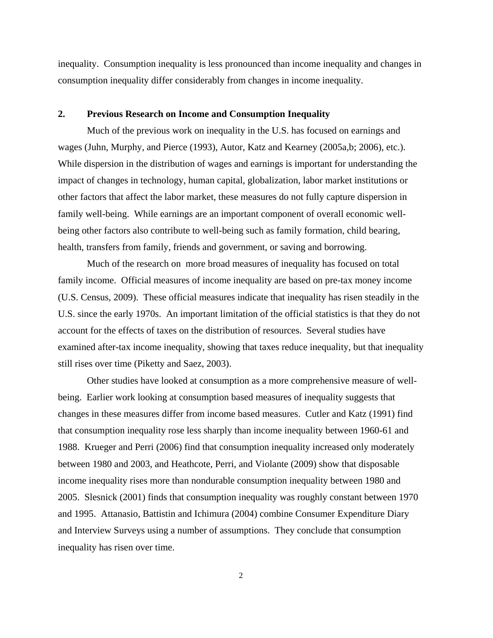inequality. Consumption inequality is less pronounced than income inequality and changes in consumption inequality differ considerably from changes in income inequality.

#### **2. Previous Research on Income and Consumption Inequality**

 Much of the previous work on inequality in the U.S. has focused on earnings and wages (Juhn, Murphy, and Pierce (1993), Autor, Katz and Kearney (2005a,b; 2006), etc.). While dispersion in the distribution of wages and earnings is important for understanding the impact of changes in technology, human capital, globalization, labor market institutions or other factors that affect the labor market, these measures do not fully capture dispersion in family well-being. While earnings are an important component of overall economic wellbeing other factors also contribute to well-being such as family formation, child bearing, health, transfers from family, friends and government, or saving and borrowing.

 Much of the research on more broad measures of inequality has focused on total family income. Official measures of income inequality are based on pre-tax money income (U.S. Census, 2009). These official measures indicate that inequality has risen steadily in the U.S. since the early 1970s. An important limitation of the official statistics is that they do not account for the effects of taxes on the distribution of resources. Several studies have examined after-tax income inequality, showing that taxes reduce inequality, but that inequality still rises over time (Piketty and Saez, 2003).

 Other studies have looked at consumption as a more comprehensive measure of wellbeing. Earlier work looking at consumption based measures of inequality suggests that changes in these measures differ from income based measures. Cutler and Katz (1991) find that consumption inequality rose less sharply than income inequality between 1960-61 and 1988. Krueger and Perri (2006) find that consumption inequality increased only moderately between 1980 and 2003, and Heathcote, Perri, and Violante (2009) show that disposable income inequality rises more than nondurable consumption inequality between 1980 and 2005. Slesnick (2001) finds that consumption inequality was roughly constant between 1970 and 1995. Attanasio, Battistin and Ichimura (2004) combine Consumer Expenditure Diary and Interview Surveys using a number of assumptions. They conclude that consumption inequality has risen over time.

2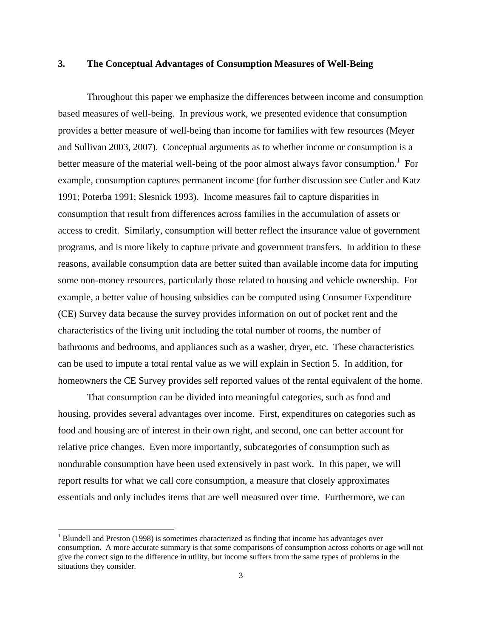## **3. The Conceptual Advantages of Consumption Measures of Well-Being**

 Throughout this paper we emphasize the differences between income and consumption based measures of well-being. In previous work, we presented evidence that consumption provides a better measure of well-being than income for families with few resources (Meyer and Sullivan 2003, 2007). Conceptual arguments as to whether income or consumption is a better measure of the material well-being of the poor almost always favor consumption.<sup>1</sup> For example, consumption captures permanent income (for further discussion see Cutler and Katz 1991; Poterba 1991; Slesnick 1993). Income measures fail to capture disparities in consumption that result from differences across families in the accumulation of assets or access to credit. Similarly, consumption will better reflect the insurance value of government programs, and is more likely to capture private and government transfers. In addition to these reasons, available consumption data are better suited than available income data for imputing some non-money resources, particularly those related to housing and vehicle ownership. For example, a better value of housing subsidies can be computed using Consumer Expenditure (CE) Survey data because the survey provides information on out of pocket rent and the characteristics of the living unit including the total number of rooms, the number of bathrooms and bedrooms, and appliances such as a washer, dryer, etc. These characteristics can be used to impute a total rental value as we will explain in Section 5. In addition, for homeowners the CE Survey provides self reported values of the rental equivalent of the home.

 That consumption can be divided into meaningful categories, such as food and housing, provides several advantages over income. First, expenditures on categories such as food and housing are of interest in their own right, and second, one can better account for relative price changes. Even more importantly, subcategories of consumption such as nondurable consumption have been used extensively in past work. In this paper, we will report results for what we call core consumption, a measure that closely approximates essentials and only includes items that are well measured over time. Furthermore, we can

 $\overline{\phantom{a}}$ 

 $1$  Blundell and Preston (1998) is sometimes characterized as finding that income has advantages over consumption. A more accurate summary is that some comparisons of consumption across cohorts or age will not give the correct sign to the difference in utility, but income suffers from the same types of problems in the situations they consider.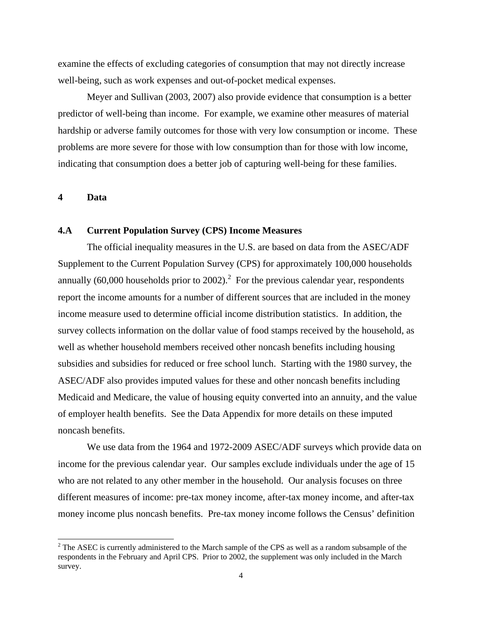examine the effects of excluding categories of consumption that may not directly increase well-being, such as work expenses and out-of-pocket medical expenses.

 Meyer and Sullivan (2003, 2007) also provide evidence that consumption is a better predictor of well-being than income. For example, we examine other measures of material hardship or adverse family outcomes for those with very low consumption or income. These problems are more severe for those with low consumption than for those with low income, indicating that consumption does a better job of capturing well-being for these families.

**4 Data** 

 $\overline{\phantom{a}}$ 

# **4.A Current Population Survey (CPS) Income Measures**

 The official inequality measures in the U.S. are based on data from the ASEC/ADF Supplement to the Current Population Survey (CPS) for approximately 100,000 households annually (60,000 households prior to 2002).<sup>2</sup> For the previous calendar year, respondents report the income amounts for a number of different sources that are included in the money income measure used to determine official income distribution statistics. In addition, the survey collects information on the dollar value of food stamps received by the household, as well as whether household members received other noncash benefits including housing subsidies and subsidies for reduced or free school lunch. Starting with the 1980 survey, the ASEC/ADF also provides imputed values for these and other noncash benefits including Medicaid and Medicare, the value of housing equity converted into an annuity, and the value of employer health benefits. See the Data Appendix for more details on these imputed noncash benefits.

 We use data from the 1964 and 1972-2009 ASEC/ADF surveys which provide data on income for the previous calendar year. Our samples exclude individuals under the age of 15 who are not related to any other member in the household. Our analysis focuses on three different measures of income: pre-tax money income, after-tax money income, and after-tax money income plus noncash benefits. Pre-tax money income follows the Census' definition

 $2^2$  The ASEC is currently administered to the March sample of the CPS as well as a random subsample of the respondents in the February and April CPS. Prior to 2002, the supplement was only included in the March survey.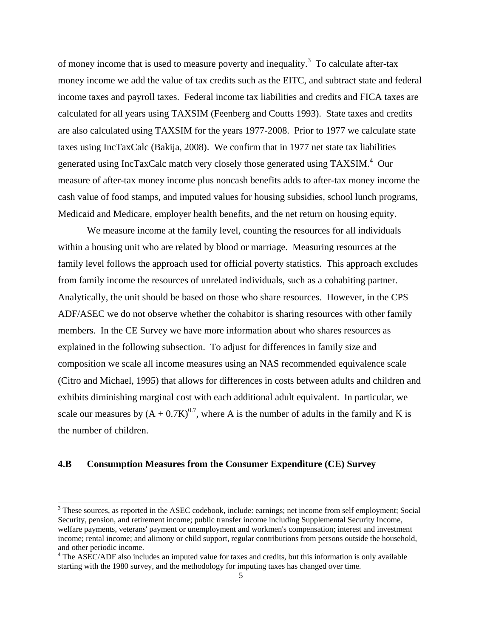of money income that is used to measure poverty and inequality.<sup>3</sup> To calculate after-tax money income we add the value of tax credits such as the EITC, and subtract state and federal income taxes and payroll taxes. Federal income tax liabilities and credits and FICA taxes are calculated for all years using TAXSIM (Feenberg and Coutts 1993). State taxes and credits are also calculated using TAXSIM for the years 1977-2008. Prior to 1977 we calculate state taxes using IncTaxCalc (Bakija, 2008). We confirm that in 1977 net state tax liabilities generated using IncTaxCalc match very closely those generated using TAXSIM.<sup>4</sup> Our measure of after-tax money income plus noncash benefits adds to after-tax money income the cash value of food stamps, and imputed values for housing subsidies, school lunch programs, Medicaid and Medicare, employer health benefits, and the net return on housing equity.

 We measure income at the family level, counting the resources for all individuals within a housing unit who are related by blood or marriage. Measuring resources at the family level follows the approach used for official poverty statistics. This approach excludes from family income the resources of unrelated individuals, such as a cohabiting partner. Analytically, the unit should be based on those who share resources. However, in the CPS ADF/ASEC we do not observe whether the cohabitor is sharing resources with other family members. In the CE Survey we have more information about who shares resources as explained in the following subsection. To adjust for differences in family size and composition we scale all income measures using an NAS recommended equivalence scale (Citro and Michael, 1995) that allows for differences in costs between adults and children and exhibits diminishing marginal cost with each additional adult equivalent. In particular, we scale our measures by  $(A + 0.7K)^{0.7}$ , where A is the number of adults in the family and K is the number of children.

### **4.B Consumption Measures from the Consumer Expenditure (CE) Survey**

 $\overline{\phantom{a}}$ 

<sup>&</sup>lt;sup>3</sup> These sources, as reported in the ASEC codebook, include: earnings; net income from self employment; Social Security, pension, and retirement income; public transfer income including Supplemental Security Income, welfare payments, veterans' payment or unemployment and workmen's compensation; interest and investment income; rental income; and alimony or child support, regular contributions from persons outside the household, and other periodic income.

<sup>&</sup>lt;sup>4</sup> The ASEC/ADF also includes an imputed value for taxes and credits, but this information is only available starting with the 1980 survey, and the methodology for imputing taxes has changed over time.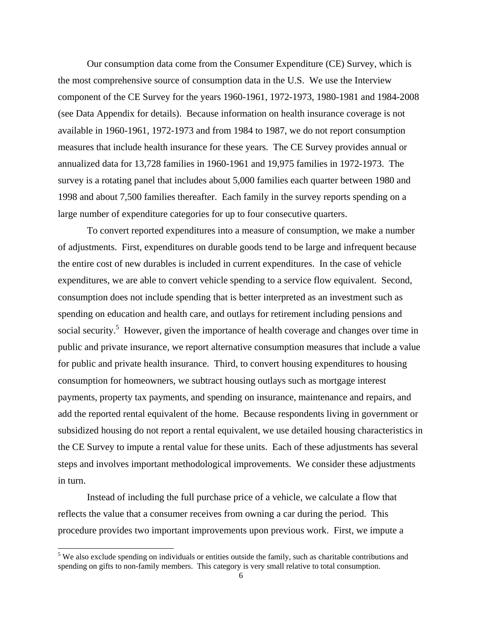Our consumption data come from the Consumer Expenditure (CE) Survey, which is the most comprehensive source of consumption data in the U.S. We use the Interview component of the CE Survey for the years 1960-1961, 1972-1973, 1980-1981 and 1984-2008 (see Data Appendix for details). Because information on health insurance coverage is not available in 1960-1961, 1972-1973 and from 1984 to 1987, we do not report consumption measures that include health insurance for these years. The CE Survey provides annual or annualized data for 13,728 families in 1960-1961 and 19,975 families in 1972-1973. The survey is a rotating panel that includes about 5,000 families each quarter between 1980 and 1998 and about 7,500 families thereafter. Each family in the survey reports spending on a large number of expenditure categories for up to four consecutive quarters.

 To convert reported expenditures into a measure of consumption, we make a number of adjustments. First, expenditures on durable goods tend to be large and infrequent because the entire cost of new durables is included in current expenditures. In the case of vehicle expenditures, we are able to convert vehicle spending to a service flow equivalent. Second, consumption does not include spending that is better interpreted as an investment such as spending on education and health care, and outlays for retirement including pensions and social security.<sup>5</sup> However, given the importance of health coverage and changes over time in public and private insurance, we report alternative consumption measures that include a value for public and private health insurance. Third, to convert housing expenditures to housing consumption for homeowners, we subtract housing outlays such as mortgage interest payments, property tax payments, and spending on insurance, maintenance and repairs, and add the reported rental equivalent of the home. Because respondents living in government or subsidized housing do not report a rental equivalent, we use detailed housing characteristics in the CE Survey to impute a rental value for these units. Each of these adjustments has several steps and involves important methodological improvements. We consider these adjustments in turn.

Instead of including the full purchase price of a vehicle, we calculate a flow that reflects the value that a consumer receives from owning a car during the period. This procedure provides two important improvements upon previous work. First, we impute a

l

<sup>&</sup>lt;sup>5</sup> We also exclude spending on individuals or entities outside the family, such as charitable contributions and spending on gifts to non-family members. This category is very small relative to total consumption.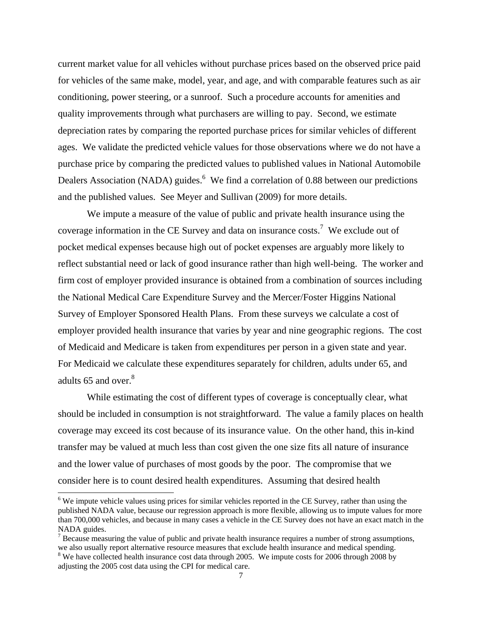current market value for all vehicles without purchase prices based on the observed price paid for vehicles of the same make, model, year, and age, and with comparable features such as air conditioning, power steering, or a sunroof. Such a procedure accounts for amenities and quality improvements through what purchasers are willing to pay. Second, we estimate depreciation rates by comparing the reported purchase prices for similar vehicles of different ages. We validate the predicted vehicle values for those observations where we do not have a purchase price by comparing the predicted values to published values in National Automobile Dealers Association (NADA) guides.<sup>6</sup> We find a correlation of 0.88 between our predictions and the published values. See Meyer and Sullivan (2009) for more details.

We impute a measure of the value of public and private health insurance using the coverage information in the CE Survey and data on insurance costs.<sup>7</sup> We exclude out of pocket medical expenses because high out of pocket expenses are arguably more likely to reflect substantial need or lack of good insurance rather than high well-being. The worker and firm cost of employer provided insurance is obtained from a combination of sources including the National Medical Care Expenditure Survey and the Mercer/Foster Higgins National Survey of Employer Sponsored Health Plans. From these surveys we calculate a cost of employer provided health insurance that varies by year and nine geographic regions. The cost of Medicaid and Medicare is taken from expenditures per person in a given state and year. For Medicaid we calculate these expenditures separately for children, adults under 65, and adults 65 and over. $8<sup>8</sup>$ 

While estimating the cost of different types of coverage is conceptually clear, what should be included in consumption is not straightforward. The value a family places on health coverage may exceed its cost because of its insurance value. On the other hand, this in-kind transfer may be valued at much less than cost given the one size fits all nature of insurance and the lower value of purchases of most goods by the poor. The compromise that we consider here is to count desired health expenditures. Assuming that desired health

l

<sup>&</sup>lt;sup>6</sup> We impute vehicle values using prices for similar vehicles reported in the CE Survey, rather than using the published NADA value, because our regression approach is more flexible, allowing us to impute values for more than 700,000 vehicles, and because in many cases a vehicle in the CE Survey does not have an exact match in the NADA guides.

 $<sup>7</sup>$  Because measuring the value of public and private health insurance requires a number of strong assumptions,</sup> we also usually report alternative resource measures that exclude health insurance and medical spending. <sup>8</sup> We have collected health insurance cost data through 2005. We impute costs for 2006 through 2008 by

adjusting the 2005 cost data using the CPI for medical care.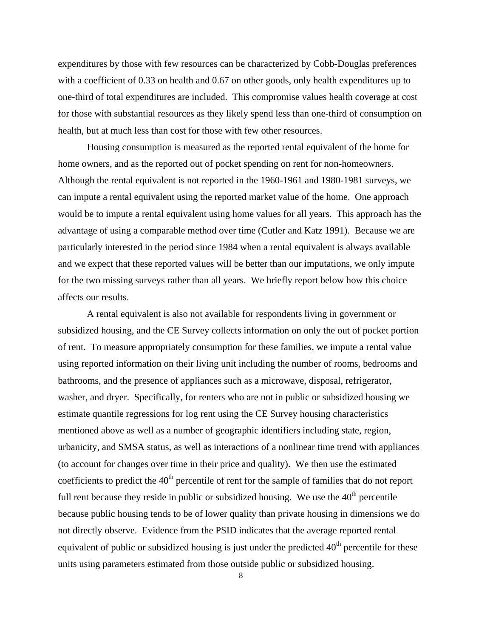expenditures by those with few resources can be characterized by Cobb-Douglas preferences with a coefficient of 0.33 on health and 0.67 on other goods, only health expenditures up to one-third of total expenditures are included. This compromise values health coverage at cost for those with substantial resources as they likely spend less than one-third of consumption on health, but at much less than cost for those with few other resources.

Housing consumption is measured as the reported rental equivalent of the home for home owners, and as the reported out of pocket spending on rent for non-homeowners. Although the rental equivalent is not reported in the 1960-1961 and 1980-1981 surveys, we can impute a rental equivalent using the reported market value of the home. One approach would be to impute a rental equivalent using home values for all years. This approach has the advantage of using a comparable method over time (Cutler and Katz 1991). Because we are particularly interested in the period since 1984 when a rental equivalent is always available and we expect that these reported values will be better than our imputations, we only impute for the two missing surveys rather than all years. We briefly report below how this choice affects our results.

A rental equivalent is also not available for respondents living in government or subsidized housing, and the CE Survey collects information on only the out of pocket portion of rent. To measure appropriately consumption for these families, we impute a rental value using reported information on their living unit including the number of rooms, bedrooms and bathrooms, and the presence of appliances such as a microwave, disposal, refrigerator, washer, and dryer. Specifically, for renters who are not in public or subsidized housing we estimate quantile regressions for log rent using the CE Survey housing characteristics mentioned above as well as a number of geographic identifiers including state, region, urbanicity, and SMSA status, as well as interactions of a nonlinear time trend with appliances (to account for changes over time in their price and quality). We then use the estimated coefficients to predict the 40<sup>th</sup> percentile of rent for the sample of families that do not report full rent because they reside in public or subsidized housing. We use the  $40<sup>th</sup>$  percentile because public housing tends to be of lower quality than private housing in dimensions we do not directly observe. Evidence from the PSID indicates that the average reported rental equivalent of public or subsidized housing is just under the predicted  $40<sup>th</sup>$  percentile for these units using parameters estimated from those outside public or subsidized housing.

8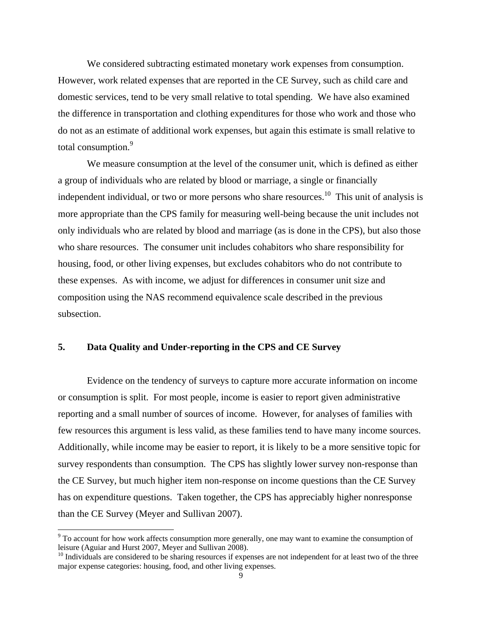We considered subtracting estimated monetary work expenses from consumption. However, work related expenses that are reported in the CE Survey, such as child care and domestic services, tend to be very small relative to total spending. We have also examined the difference in transportation and clothing expenditures for those who work and those who do not as an estimate of additional work expenses, but again this estimate is small relative to total consumption.<sup>9</sup>

We measure consumption at the level of the consumer unit, which is defined as either a group of individuals who are related by blood or marriage, a single or financially independent individual, or two or more persons who share resources.<sup>10</sup> This unit of analysis is more appropriate than the CPS family for measuring well-being because the unit includes not only individuals who are related by blood and marriage (as is done in the CPS), but also those who share resources. The consumer unit includes cohabitors who share responsibility for housing, food, or other living expenses, but excludes cohabitors who do not contribute to these expenses. As with income, we adjust for differences in consumer unit size and composition using the NAS recommend equivalence scale described in the previous subsection.

# **5. Data Quality and Under-reporting in the CPS and CE Survey**

 Evidence on the tendency of surveys to capture more accurate information on income or consumption is split. For most people, income is easier to report given administrative reporting and a small number of sources of income. However, for analyses of families with few resources this argument is less valid, as these families tend to have many income sources. Additionally, while income may be easier to report, it is likely to be a more sensitive topic for survey respondents than consumption. The CPS has slightly lower survey non-response than the CE Survey, but much higher item non-response on income questions than the CE Survey has on expenditure questions. Taken together, the CPS has appreciably higher nonresponse than the CE Survey (Meyer and Sullivan 2007).

<sup>&</sup>lt;sup>9</sup> To account for how work affects consumption more generally, one may want to examine the consumption of leisure (Aguiar and Hurst 2007, Meyer and Sullivan 2008).

<sup>&</sup>lt;sup>10</sup> Individuals are considered to be sharing resources if expenses are not independent for at least two of the three major expense categories: housing, food, and other living expenses.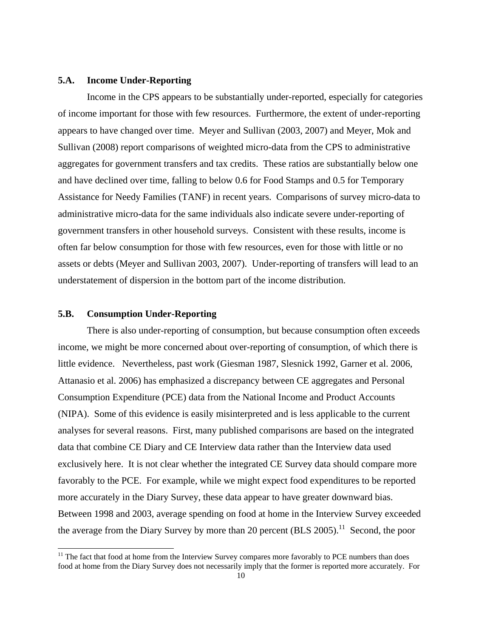## **5.A. Income Under-Reporting**

 Income in the CPS appears to be substantially under-reported, especially for categories of income important for those with few resources. Furthermore, the extent of under-reporting appears to have changed over time. Meyer and Sullivan (2003, 2007) and Meyer, Mok and Sullivan (2008) report comparisons of weighted micro-data from the CPS to administrative aggregates for government transfers and tax credits. These ratios are substantially below one and have declined over time, falling to below 0.6 for Food Stamps and 0.5 for Temporary Assistance for Needy Families (TANF) in recent years. Comparisons of survey micro-data to administrative micro-data for the same individuals also indicate severe under-reporting of government transfers in other household surveys. Consistent with these results, income is often far below consumption for those with few resources, even for those with little or no assets or debts (Meyer and Sullivan 2003, 2007). Under-reporting of transfers will lead to an understatement of dispersion in the bottom part of the income distribution.

#### **5.B. Consumption Under-Reporting**

l

 There is also under-reporting of consumption, but because consumption often exceeds income, we might be more concerned about over-reporting of consumption, of which there is little evidence. Nevertheless, past work (Giesman 1987, Slesnick 1992, Garner et al. 2006, Attanasio et al. 2006) has emphasized a discrepancy between CE aggregates and Personal Consumption Expenditure (PCE) data from the National Income and Product Accounts (NIPA). Some of this evidence is easily misinterpreted and is less applicable to the current analyses for several reasons. First, many published comparisons are based on the integrated data that combine CE Diary and CE Interview data rather than the Interview data used exclusively here. It is not clear whether the integrated CE Survey data should compare more favorably to the PCE. For example, while we might expect food expenditures to be reported more accurately in the Diary Survey, these data appear to have greater downward bias. Between 1998 and 2003, average spending on food at home in the Interview Survey exceeded the average from the Diary Survey by more than 20 percent  $(BLS 2005)$ .<sup>11</sup> Second, the poor

 $11$  The fact that food at home from the Interview Survey compares more favorably to PCE numbers than does food at home from the Diary Survey does not necessarily imply that the former is reported more accurately. For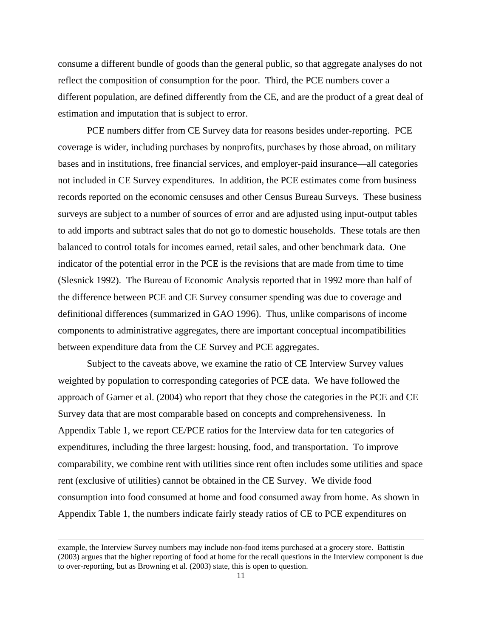consume a different bundle of goods than the general public, so that aggregate analyses do not reflect the composition of consumption for the poor. Third, the PCE numbers cover a different population, are defined differently from the CE, and are the product of a great deal of estimation and imputation that is subject to error.

 PCE numbers differ from CE Survey data for reasons besides under-reporting. PCE coverage is wider, including purchases by nonprofits, purchases by those abroad, on military bases and in institutions, free financial services, and employer-paid insurance—all categories not included in CE Survey expenditures. In addition, the PCE estimates come from business records reported on the economic censuses and other Census Bureau Surveys. These business surveys are subject to a number of sources of error and are adjusted using input-output tables to add imports and subtract sales that do not go to domestic households. These totals are then balanced to control totals for incomes earned, retail sales, and other benchmark data. One indicator of the potential error in the PCE is the revisions that are made from time to time (Slesnick 1992). The Bureau of Economic Analysis reported that in 1992 more than half of the difference between PCE and CE Survey consumer spending was due to coverage and definitional differences (summarized in GAO 1996). Thus, unlike comparisons of income components to administrative aggregates, there are important conceptual incompatibilities between expenditure data from the CE Survey and PCE aggregates.

 Subject to the caveats above, we examine the ratio of CE Interview Survey values weighted by population to corresponding categories of PCE data. We have followed the approach of Garner et al. (2004) who report that they chose the categories in the PCE and CE Survey data that are most comparable based on concepts and comprehensiveness. In Appendix Table 1, we report CE/PCE ratios for the Interview data for ten categories of expenditures, including the three largest: housing, food, and transportation. To improve comparability, we combine rent with utilities since rent often includes some utilities and space rent (exclusive of utilities) cannot be obtained in the CE Survey. We divide food consumption into food consumed at home and food consumed away from home. As shown in Appendix Table 1, the numbers indicate fairly steady ratios of CE to PCE expenditures on

 $\overline{\phantom{a}}$ 

example, the Interview Survey numbers may include non-food items purchased at a grocery store. Battistin (2003) argues that the higher reporting of food at home for the recall questions in the Interview component is due to over-reporting, but as Browning et al. (2003) state, this is open to question.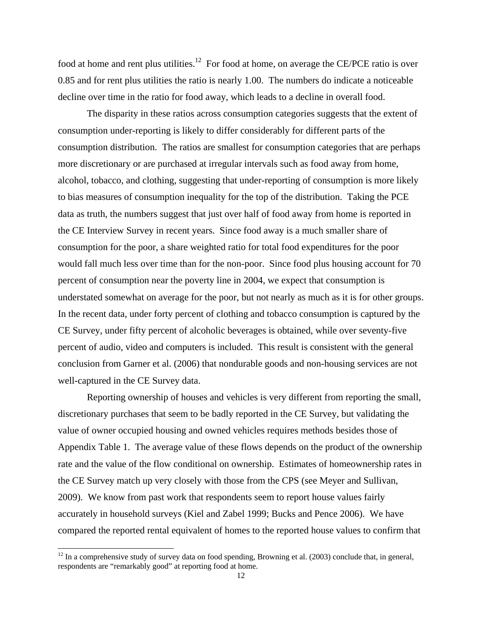food at home and rent plus utilities.<sup>12</sup> For food at home, on average the CE/PCE ratio is over 0.85 and for rent plus utilities the ratio is nearly 1.00. The numbers do indicate a noticeable decline over time in the ratio for food away, which leads to a decline in overall food.

 The disparity in these ratios across consumption categories suggests that the extent of consumption under-reporting is likely to differ considerably for different parts of the consumption distribution. The ratios are smallest for consumption categories that are perhaps more discretionary or are purchased at irregular intervals such as food away from home, alcohol, tobacco, and clothing, suggesting that under-reporting of consumption is more likely to bias measures of consumption inequality for the top of the distribution. Taking the PCE data as truth, the numbers suggest that just over half of food away from home is reported in the CE Interview Survey in recent years. Since food away is a much smaller share of consumption for the poor, a share weighted ratio for total food expenditures for the poor would fall much less over time than for the non-poor. Since food plus housing account for 70 percent of consumption near the poverty line in 2004, we expect that consumption is understated somewhat on average for the poor, but not nearly as much as it is for other groups. In the recent data, under forty percent of clothing and tobacco consumption is captured by the CE Survey, under fifty percent of alcoholic beverages is obtained, while over seventy-five percent of audio, video and computers is included. This result is consistent with the general conclusion from Garner et al. (2006) that nondurable goods and non-housing services are not well-captured in the CE Survey data.

 Reporting ownership of houses and vehicles is very different from reporting the small, discretionary purchases that seem to be badly reported in the CE Survey, but validating the value of owner occupied housing and owned vehicles requires methods besides those of Appendix Table 1. The average value of these flows depends on the product of the ownership rate and the value of the flow conditional on ownership. Estimates of homeownership rates in the CE Survey match up very closely with those from the CPS (see Meyer and Sullivan, 2009). We know from past work that respondents seem to report house values fairly accurately in household surveys (Kiel and Zabel 1999; Bucks and Pence 2006). We have compared the reported rental equivalent of homes to the reported house values to confirm that

l

 $12$  In a comprehensive study of survey data on food spending, Browning et al. (2003) conclude that, in general, respondents are "remarkably good" at reporting food at home.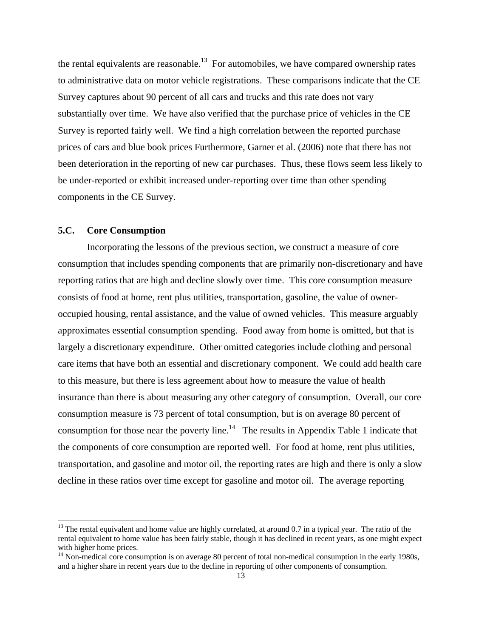the rental equivalents are reasonable.<sup>13</sup> For automobiles, we have compared ownership rates to administrative data on motor vehicle registrations. These comparisons indicate that the CE Survey captures about 90 percent of all cars and trucks and this rate does not vary substantially over time. We have also verified that the purchase price of vehicles in the CE Survey is reported fairly well. We find a high correlation between the reported purchase prices of cars and blue book prices Furthermore, Garner et al. (2006) note that there has not been deterioration in the reporting of new car purchases. Thus, these flows seem less likely to be under-reported or exhibit increased under-reporting over time than other spending components in the CE Survey.

# **5.C. Core Consumption**

l

 Incorporating the lessons of the previous section, we construct a measure of core consumption that includes spending components that are primarily non-discretionary and have reporting ratios that are high and decline slowly over time. This core consumption measure consists of food at home, rent plus utilities, transportation, gasoline, the value of owneroccupied housing, rental assistance, and the value of owned vehicles. This measure arguably approximates essential consumption spending. Food away from home is omitted, but that is largely a discretionary expenditure. Other omitted categories include clothing and personal care items that have both an essential and discretionary component. We could add health care to this measure, but there is less agreement about how to measure the value of health insurance than there is about measuring any other category of consumption. Overall, our core consumption measure is 73 percent of total consumption, but is on average 80 percent of consumption for those near the poverty line.<sup>14</sup> The results in Appendix Table 1 indicate that the components of core consumption are reported well. For food at home, rent plus utilities, transportation, and gasoline and motor oil, the reporting rates are high and there is only a slow decline in these ratios over time except for gasoline and motor oil. The average reporting

 $13$  The rental equivalent and home value are highly correlated, at around 0.7 in a typical year. The ratio of the rental equivalent to home value has been fairly stable, though it has declined in recent years, as one might expect with higher home prices.

<sup>&</sup>lt;sup>14</sup> Non-medical core consumption is on average 80 percent of total non-medical consumption in the early 1980s, and a higher share in recent years due to the decline in reporting of other components of consumption.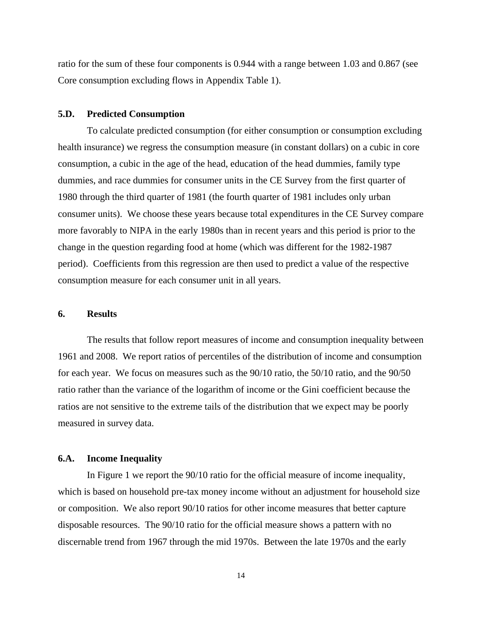ratio for the sum of these four components is 0.944 with a range between 1.03 and 0.867 (see Core consumption excluding flows in Appendix Table 1).

### **5.D. Predicted Consumption**

 To calculate predicted consumption (for either consumption or consumption excluding health insurance) we regress the consumption measure (in constant dollars) on a cubic in core consumption, a cubic in the age of the head, education of the head dummies, family type dummies, and race dummies for consumer units in the CE Survey from the first quarter of 1980 through the third quarter of 1981 (the fourth quarter of 1981 includes only urban consumer units). We choose these years because total expenditures in the CE Survey compare more favorably to NIPA in the early 1980s than in recent years and this period is prior to the change in the question regarding food at home (which was different for the 1982-1987 period). Coefficients from this regression are then used to predict a value of the respective consumption measure for each consumer unit in all years.

#### **6. Results**

The results that follow report measures of income and consumption inequality between 1961 and 2008. We report ratios of percentiles of the distribution of income and consumption for each year. We focus on measures such as the 90/10 ratio, the 50/10 ratio, and the 90/50 ratio rather than the variance of the logarithm of income or the Gini coefficient because the ratios are not sensitive to the extreme tails of the distribution that we expect may be poorly measured in survey data.

### **6.A. Income Inequality**

In Figure 1 we report the 90/10 ratio for the official measure of income inequality, which is based on household pre-tax money income without an adjustment for household size or composition. We also report 90/10 ratios for other income measures that better capture disposable resources. The 90/10 ratio for the official measure shows a pattern with no discernable trend from 1967 through the mid 1970s. Between the late 1970s and the early

14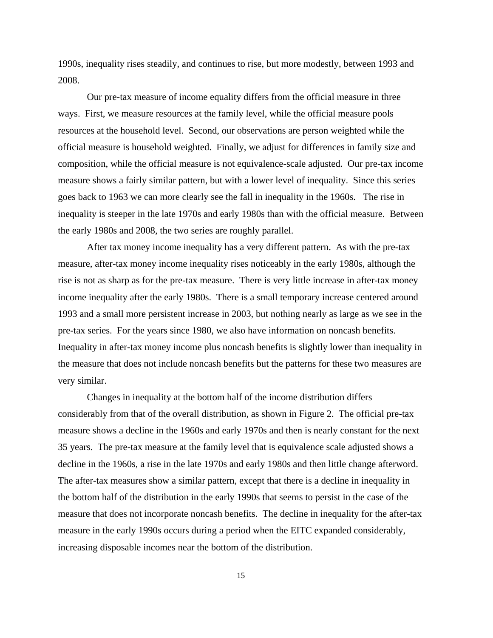1990s, inequality rises steadily, and continues to rise, but more modestly, between 1993 and 2008.

Our pre-tax measure of income equality differs from the official measure in three ways. First, we measure resources at the family level, while the official measure pools resources at the household level. Second, our observations are person weighted while the official measure is household weighted. Finally, we adjust for differences in family size and composition, while the official measure is not equivalence-scale adjusted. Our pre-tax income measure shows a fairly similar pattern, but with a lower level of inequality. Since this series goes back to 1963 we can more clearly see the fall in inequality in the 1960s. The rise in inequality is steeper in the late 1970s and early 1980s than with the official measure. Between the early 1980s and 2008, the two series are roughly parallel.

After tax money income inequality has a very different pattern. As with the pre-tax measure, after-tax money income inequality rises noticeably in the early 1980s, although the rise is not as sharp as for the pre-tax measure. There is very little increase in after-tax money income inequality after the early 1980s. There is a small temporary increase centered around 1993 and a small more persistent increase in 2003, but nothing nearly as large as we see in the pre-tax series. For the years since 1980, we also have information on noncash benefits. Inequality in after-tax money income plus noncash benefits is slightly lower than inequality in the measure that does not include noncash benefits but the patterns for these two measures are very similar.

Changes in inequality at the bottom half of the income distribution differs considerably from that of the overall distribution, as shown in Figure 2. The official pre-tax measure shows a decline in the 1960s and early 1970s and then is nearly constant for the next 35 years. The pre-tax measure at the family level that is equivalence scale adjusted shows a decline in the 1960s, a rise in the late 1970s and early 1980s and then little change afterword. The after-tax measures show a similar pattern, except that there is a decline in inequality in the bottom half of the distribution in the early 1990s that seems to persist in the case of the measure that does not incorporate noncash benefits. The decline in inequality for the after-tax measure in the early 1990s occurs during a period when the EITC expanded considerably, increasing disposable incomes near the bottom of the distribution.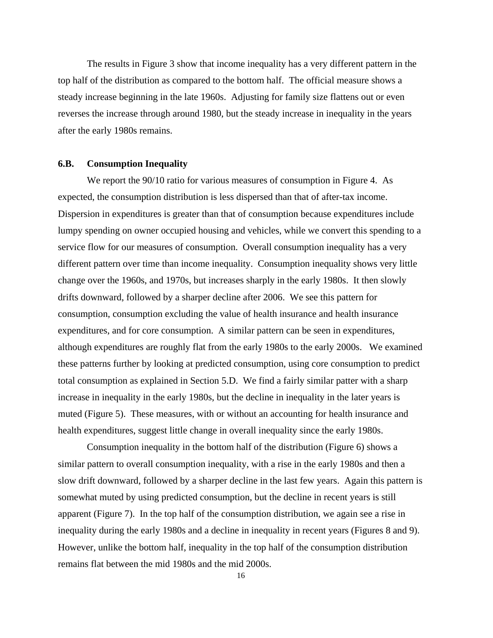The results in Figure 3 show that income inequality has a very different pattern in the top half of the distribution as compared to the bottom half. The official measure shows a steady increase beginning in the late 1960s. Adjusting for family size flattens out or even reverses the increase through around 1980, but the steady increase in inequality in the years after the early 1980s remains.

### **6.B. Consumption Inequality**

We report the 90/10 ratio for various measures of consumption in Figure 4. As expected, the consumption distribution is less dispersed than that of after-tax income. Dispersion in expenditures is greater than that of consumption because expenditures include lumpy spending on owner occupied housing and vehicles, while we convert this spending to a service flow for our measures of consumption. Overall consumption inequality has a very different pattern over time than income inequality. Consumption inequality shows very little change over the 1960s, and 1970s, but increases sharply in the early 1980s. It then slowly drifts downward, followed by a sharper decline after 2006. We see this pattern for consumption, consumption excluding the value of health insurance and health insurance expenditures, and for core consumption. A similar pattern can be seen in expenditures, although expenditures are roughly flat from the early 1980s to the early 2000s. We examined these patterns further by looking at predicted consumption, using core consumption to predict total consumption as explained in Section 5.D. We find a fairly similar patter with a sharp increase in inequality in the early 1980s, but the decline in inequality in the later years is muted (Figure 5). These measures, with or without an accounting for health insurance and health expenditures, suggest little change in overall inequality since the early 1980s.

Consumption inequality in the bottom half of the distribution (Figure 6) shows a similar pattern to overall consumption inequality, with a rise in the early 1980s and then a slow drift downward, followed by a sharper decline in the last few years. Again this pattern is somewhat muted by using predicted consumption, but the decline in recent years is still apparent (Figure 7). In the top half of the consumption distribution, we again see a rise in inequality during the early 1980s and a decline in inequality in recent years (Figures 8 and 9). However, unlike the bottom half, inequality in the top half of the consumption distribution remains flat between the mid 1980s and the mid 2000s.

16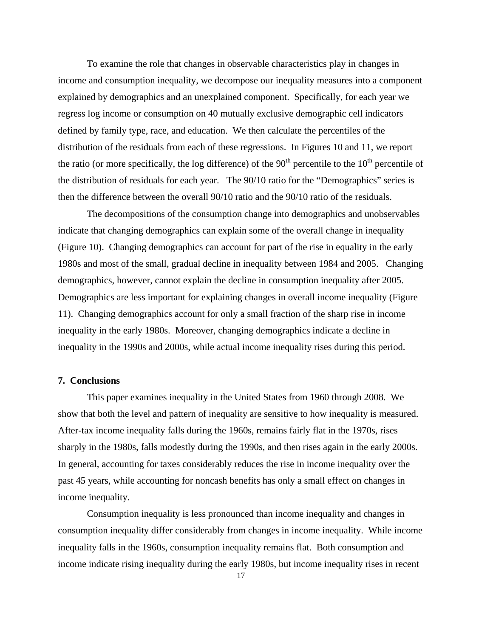To examine the role that changes in observable characteristics play in changes in income and consumption inequality, we decompose our inequality measures into a component explained by demographics and an unexplained component. Specifically, for each year we regress log income or consumption on 40 mutually exclusive demographic cell indicators defined by family type, race, and education. We then calculate the percentiles of the distribution of the residuals from each of these regressions. In Figures 10 and 11, we report the ratio (or more specifically, the log difference) of the  $90<sup>th</sup>$  percentile to the  $10<sup>th</sup>$  percentile of the distribution of residuals for each year. The 90/10 ratio for the "Demographics" series is then the difference between the overall 90/10 ratio and the 90/10 ratio of the residuals.

The decompositions of the consumption change into demographics and unobservables indicate that changing demographics can explain some of the overall change in inequality (Figure 10). Changing demographics can account for part of the rise in equality in the early 1980s and most of the small, gradual decline in inequality between 1984 and 2005. Changing demographics, however, cannot explain the decline in consumption inequality after 2005. Demographics are less important for explaining changes in overall income inequality (Figure 11). Changing demographics account for only a small fraction of the sharp rise in income inequality in the early 1980s. Moreover, changing demographics indicate a decline in inequality in the 1990s and 2000s, while actual income inequality rises during this period.

### **7. Conclusions**

 This paper examines inequality in the United States from 1960 through 2008. We show that both the level and pattern of inequality are sensitive to how inequality is measured. After-tax income inequality falls during the 1960s, remains fairly flat in the 1970s, rises sharply in the 1980s, falls modestly during the 1990s, and then rises again in the early 2000s. In general, accounting for taxes considerably reduces the rise in income inequality over the past 45 years, while accounting for noncash benefits has only a small effect on changes in income inequality.

 Consumption inequality is less pronounced than income inequality and changes in consumption inequality differ considerably from changes in income inequality. While income inequality falls in the 1960s, consumption inequality remains flat. Both consumption and income indicate rising inequality during the early 1980s, but income inequality rises in recent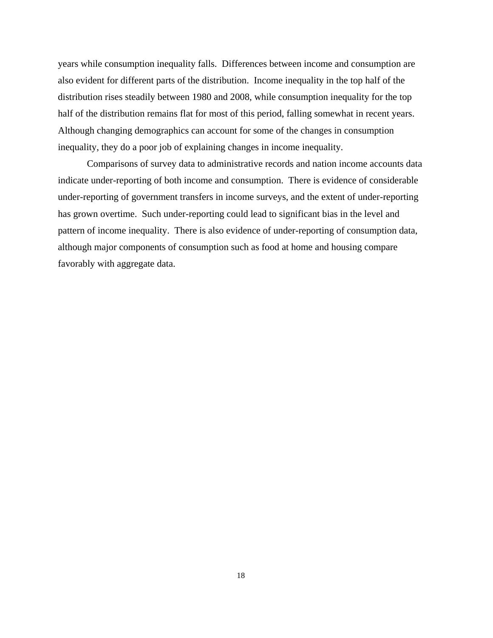years while consumption inequality falls. Differences between income and consumption are also evident for different parts of the distribution. Income inequality in the top half of the distribution rises steadily between 1980 and 2008, while consumption inequality for the top half of the distribution remains flat for most of this period, falling somewhat in recent years. Although changing demographics can account for some of the changes in consumption inequality, they do a poor job of explaining changes in income inequality.

 Comparisons of survey data to administrative records and nation income accounts data indicate under-reporting of both income and consumption. There is evidence of considerable under-reporting of government transfers in income surveys, and the extent of under-reporting has grown overtime. Such under-reporting could lead to significant bias in the level and pattern of income inequality. There is also evidence of under-reporting of consumption data, although major components of consumption such as food at home and housing compare favorably with aggregate data.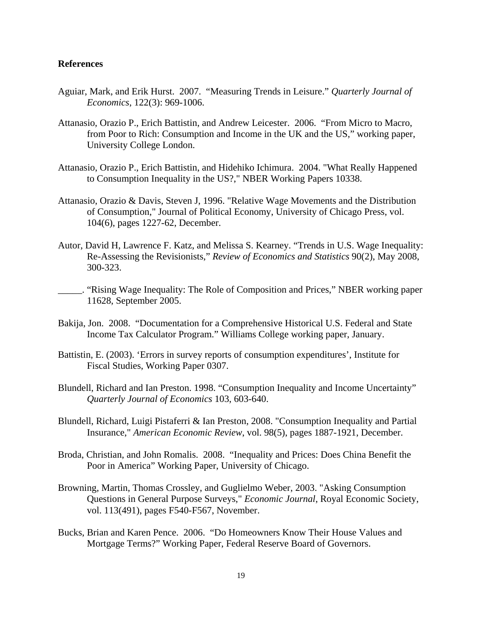### **References**

- Aguiar, Mark, and Erik Hurst. 2007. "Measuring Trends in Leisure." *Quarterly Journal of Economics*, 122(3): 969-1006.
- Attanasio, Orazio P., Erich Battistin, and Andrew Leicester. 2006. "From Micro to Macro, from Poor to Rich: Consumption and Income in the UK and the US," working paper, University College London.
- Attanasio, Orazio P., Erich Battistin, and Hidehiko Ichimura. 2004. "What Really Happened to Consumption Inequality in the US?," NBER Working Papers 10338.
- Attanasio, Orazio & Davis, Steven J, 1996. "Relative Wage Movements and the Distribution of Consumption," Journal of Political Economy, University of Chicago Press, vol. 104(6), pages 1227-62, December.
- Autor, David H, Lawrence F. Katz, and Melissa S. Kearney. "Trends in U.S. Wage Inequality: Re-Assessing the Revisionists," *Review of Economics and Statistics* 90(2), May 2008, 300-323.
- \_\_\_\_\_. "Rising Wage Inequality: The Role of Composition and Prices," NBER working paper 11628, September 2005.
- Bakija, Jon. 2008. "Documentation for a Comprehensive Historical U.S. Federal and State Income Tax Calculator Program." Williams College working paper, January.
- Battistin, E. (2003). 'Errors in survey reports of consumption expenditures', Institute for Fiscal Studies, Working Paper 0307.
- Blundell, Richard and Ian Preston. 1998. "Consumption Inequality and Income Uncertainty" *Quarterly Journal of Economics* 103, 603-640.
- Blundell, Richard, Luigi Pistaferri & Ian Preston, 2008. "Consumption Inequality and Partial Insurance," *American Economic Review*, vol. 98(5), pages 1887-1921, December.
- Broda, Christian, and John Romalis. 2008. "Inequality and Prices: Does China Benefit the Poor in America" Working Paper, University of Chicago.
- Browning, Martin, Thomas Crossley, and Guglielmo Weber, 2003. "Asking Consumption Questions in General Purpose Surveys," *Economic Journal*, Royal Economic Society, vol. 113(491), pages F540-F567, November.
- Bucks, Brian and Karen Pence. 2006. "Do Homeowners Know Their House Values and Mortgage Terms?" Working Paper, Federal Reserve Board of Governors.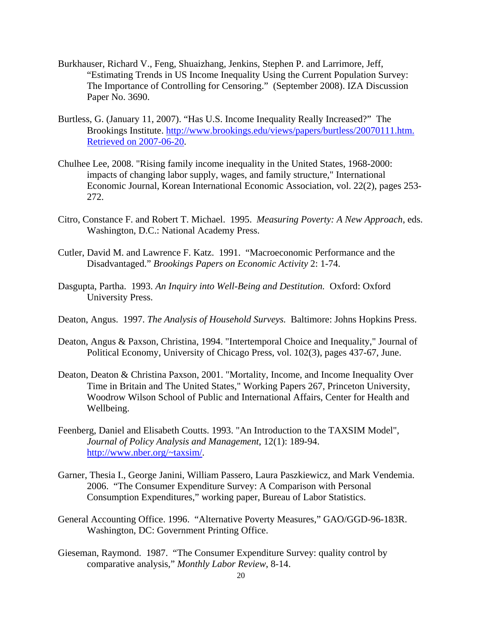- Burkhauser, Richard V., Feng, Shuaizhang, Jenkins, Stephen P. and Larrimore, Jeff, "Estimating Trends in US Income Inequality Using the Current Population Survey: The Importance of Controlling for Censoring." (September 2008). IZA Discussion Paper No. 3690.
- Burtless, G. (January 11, 2007). "Has U.S. Income Inequality Really Increased?" The Brookings Institute. http://www.brookings.edu/views/papers/burtless/20070111.htm. Retrieved on 2007-06-20.
- Chulhee Lee, 2008. "Rising family income inequality in the United States, 1968-2000: impacts of changing labor supply, wages, and family structure," International Economic Journal, Korean International Economic Association, vol. 22(2), pages 253- 272.
- Citro, Constance F. and Robert T. Michael. 1995. *Measuring Poverty: A New Approach*, eds. Washington, D.C.: National Academy Press.
- Cutler, David M. and Lawrence F. Katz. 1991. "Macroeconomic Performance and the Disadvantaged." *Brookings Papers on Economic Activity* 2: 1-74.
- Dasgupta, Partha. 1993. *An Inquiry into Well-Being and Destitution.* Oxford: Oxford University Press.
- Deaton, Angus. 1997. *The Analysis of Household Surveys.* Baltimore: Johns Hopkins Press.
- Deaton, Angus & Paxson, Christina, 1994. "Intertemporal Choice and Inequality," Journal of Political Economy, University of Chicago Press, vol. 102(3), pages 437-67, June.
- Deaton, Deaton & Christina Paxson, 2001. "Mortality, Income, and Income Inequality Over Time in Britain and The United States," Working Papers 267, Princeton University, Woodrow Wilson School of Public and International Affairs, Center for Health and Wellbeing.
- Feenberg, Daniel and Elisabeth Coutts. 1993. "An Introduction to the TAXSIM Model", *Journal of Policy Analysis and Management*, 12(1): 189-94. http://www.nber.org/~taxsim/.
- Garner, Thesia I., George Janini, William Passero, Laura Paszkiewicz, and Mark Vendemia. 2006. "The Consumer Expenditure Survey: A Comparison with Personal Consumption Expenditures," working paper, Bureau of Labor Statistics.
- General Accounting Office. 1996. "Alternative Poverty Measures," GAO/GGD-96-183R. Washington, DC: Government Printing Office.
- Gieseman, Raymond. 1987. "The Consumer Expenditure Survey: quality control by comparative analysis," *Monthly Labor Review*, 8-14.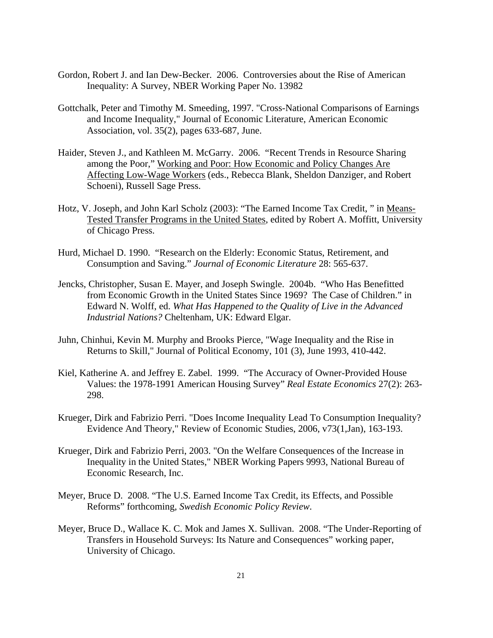- Gordon, Robert J. and Ian Dew-Becker. 2006. Controversies about the Rise of American Inequality: A Survey, NBER Working Paper No. 13982
- Gottchalk, Peter and Timothy M. Smeeding, 1997. "Cross-National Comparisons of Earnings and Income Inequality," Journal of Economic Literature, American Economic Association, vol. 35(2), pages 633-687, June.
- Haider, Steven J., and Kathleen M. McGarry. 2006. "Recent Trends in Resource Sharing among the Poor," Working and Poor: How Economic and Policy Changes Are Affecting Low-Wage Workers (eds., Rebecca Blank, Sheldon Danziger, and Robert Schoeni), Russell Sage Press.
- Hotz, V. Joseph, and John Karl Scholz (2003): "The Earned Income Tax Credit, " in Means-Tested Transfer Programs in the United States, edited by Robert A. Moffitt, University of Chicago Press.
- Hurd, Michael D. 1990. "Research on the Elderly: Economic Status, Retirement, and Consumption and Saving." *Journal of Economic Literature* 28: 565-637.
- Jencks, Christopher, Susan E. Mayer, and Joseph Swingle. 2004b. "Who Has Benefitted from Economic Growth in the United States Since 1969? The Case of Children." in Edward N. Wolff, ed. *What Has Happened to the Quality of Live in the Advanced Industrial Nations?* Cheltenham, UK: Edward Elgar.
- Juhn, Chinhui, Kevin M. Murphy and Brooks Pierce, "Wage Inequality and the Rise in Returns to Skill," Journal of Political Economy, 101 (3), June 1993, 410-442.
- Kiel, Katherine A. and Jeffrey E. Zabel. 1999. "The Accuracy of Owner-Provided House Values: the 1978-1991 American Housing Survey" *Real Estate Economics* 27(2): 263- 298.
- Krueger, Dirk and Fabrizio Perri. "Does Income Inequality Lead To Consumption Inequality? Evidence And Theory," Review of Economic Studies, 2006, v73(1,Jan), 163-193.
- Krueger, Dirk and Fabrizio Perri, 2003. "On the Welfare Consequences of the Increase in Inequality in the United States," NBER Working Papers 9993, National Bureau of Economic Research, Inc.
- Meyer, Bruce D. 2008. "The U.S. Earned Income Tax Credit, its Effects, and Possible Reforms" forthcoming, *Swedish Economic Policy Review*.
- Meyer, Bruce D., Wallace K. C. Mok and James X. Sullivan. 2008. "The Under-Reporting of Transfers in Household Surveys: Its Nature and Consequences" working paper, University of Chicago.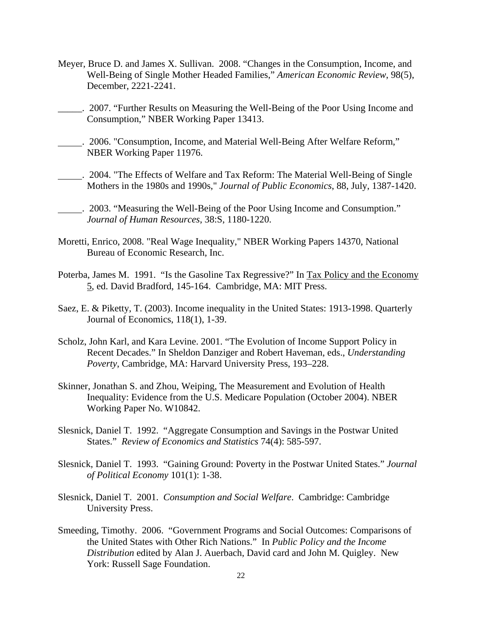- Meyer, Bruce D. and James X. Sullivan. 2008. "Changes in the Consumption, Income, and Well-Being of Single Mother Headed Families," *American Economic Review*, 98(5), December, 2221-2241.
- 2007. "Further Results on Measuring the Well-Being of the Poor Using Income and Consumption," NBER Working Paper 13413.
- . 2006. "Consumption, Income, and Material Well-Being After Welfare Reform," NBER Working Paper 11976.
- . 2004. "The Effects of Welfare and Tax Reform: The Material Well-Being of Single Mothers in the 1980s and 1990s," *Journal of Public Economics*, 88, July, 1387-1420.
- . 2003. "Measuring the Well-Being of the Poor Using Income and Consumption." *Journal of Human Resources*, 38:S, 1180-1220.
- Moretti, Enrico, 2008. "Real Wage Inequality," NBER Working Papers 14370, National Bureau of Economic Research, Inc.
- Poterba, James M. 1991. "Is the Gasoline Tax Regressive?" In Tax Policy and the Economy 5, ed. David Bradford, 145-164. Cambridge, MA: MIT Press.
- Saez, E. & Piketty, T. (2003). Income inequality in the United States: 1913-1998. Quarterly Journal of Economics, 118(1), 1-39.
- Scholz, John Karl, and Kara Levine. 2001. "The Evolution of Income Support Policy in Recent Decades." In Sheldon Danziger and Robert Haveman, eds., *Understanding Poverty*, Cambridge, MA: Harvard University Press, 193–228.
- Skinner, Jonathan S. and Zhou, Weiping, The Measurement and Evolution of Health Inequality: Evidence from the U.S. Medicare Population (October 2004). NBER Working Paper No. W10842.
- Slesnick, Daniel T. 1992. "Aggregate Consumption and Savings in the Postwar United States." *Review of Economics and Statistics* 74(4): 585-597.
- Slesnick, Daniel T. 1993. "Gaining Ground: Poverty in the Postwar United States." *Journal of Political Economy* 101(1): 1-38.
- Slesnick, Daniel T. 2001. *Consumption and Social Welfare*. Cambridge: Cambridge University Press.
- Smeeding, Timothy. 2006. "Government Programs and Social Outcomes: Comparisons of the United States with Other Rich Nations." In *Public Policy and the Income Distribution* edited by Alan J. Auerbach, David card and John M. Quigley. New York: Russell Sage Foundation.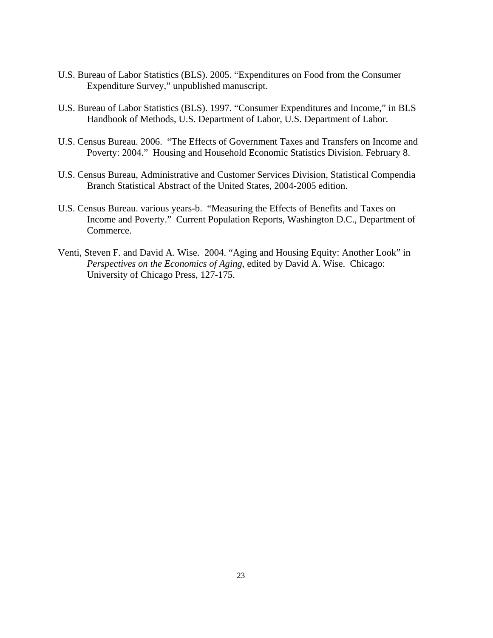- U.S. Bureau of Labor Statistics (BLS). 2005. "Expenditures on Food from the Consumer Expenditure Survey," unpublished manuscript.
- U.S. Bureau of Labor Statistics (BLS). 1997. "Consumer Expenditures and Income," in BLS Handbook of Methods, U.S. Department of Labor, U.S. Department of Labor.
- U.S. Census Bureau. 2006. "The Effects of Government Taxes and Transfers on Income and Poverty: 2004." Housing and Household Economic Statistics Division. February 8.
- U.S. Census Bureau, Administrative and Customer Services Division, Statistical Compendia Branch Statistical Abstract of the United States, 2004-2005 edition.
- U.S. Census Bureau. various years-b. "Measuring the Effects of Benefits and Taxes on Income and Poverty." Current Population Reports, Washington D.C., Department of Commerce.
- Venti, Steven F. and David A. Wise. 2004. "Aging and Housing Equity: Another Look" in *Perspectives on the Economics of Aging*, edited by David A. Wise. Chicago: University of Chicago Press, 127-175.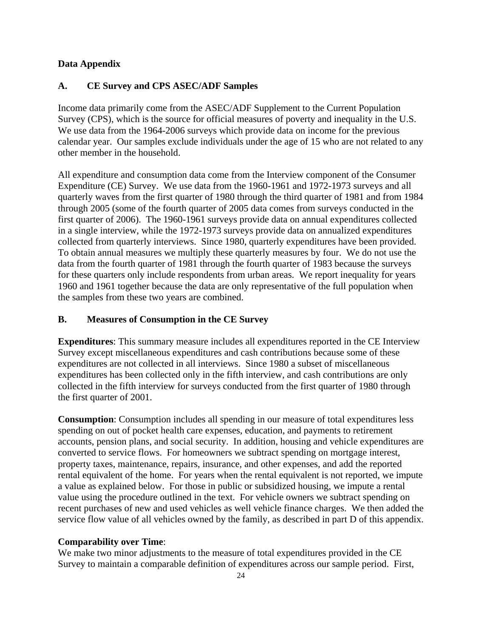# **Data Appendix**

# **A. CE Survey and CPS ASEC/ADF Samples**

Income data primarily come from the ASEC/ADF Supplement to the Current Population Survey (CPS), which is the source for official measures of poverty and inequality in the U.S. We use data from the 1964-2006 surveys which provide data on income for the previous calendar year. Our samples exclude individuals under the age of 15 who are not related to any other member in the household.

All expenditure and consumption data come from the Interview component of the Consumer Expenditure (CE) Survey. We use data from the 1960-1961 and 1972-1973 surveys and all quarterly waves from the first quarter of 1980 through the third quarter of 1981 and from 1984 through 2005 (some of the fourth quarter of 2005 data comes from surveys conducted in the first quarter of 2006). The 1960-1961 surveys provide data on annual expenditures collected in a single interview, while the 1972-1973 surveys provide data on annualized expenditures collected from quarterly interviews. Since 1980, quarterly expenditures have been provided. To obtain annual measures we multiply these quarterly measures by four. We do not use the data from the fourth quarter of 1981 through the fourth quarter of 1983 because the surveys for these quarters only include respondents from urban areas. We report inequality for years 1960 and 1961 together because the data are only representative of the full population when the samples from these two years are combined.

### **B. Measures of Consumption in the CE Survey**

**Expenditures**: This summary measure includes all expenditures reported in the CE Interview Survey except miscellaneous expenditures and cash contributions because some of these expenditures are not collected in all interviews. Since 1980 a subset of miscellaneous expenditures has been collected only in the fifth interview, and cash contributions are only collected in the fifth interview for surveys conducted from the first quarter of 1980 through the first quarter of 2001.

**Consumption**: Consumption includes all spending in our measure of total expenditures less spending on out of pocket health care expenses, education, and payments to retirement accounts, pension plans, and social security. In addition, housing and vehicle expenditures are converted to service flows. For homeowners we subtract spending on mortgage interest, property taxes, maintenance, repairs, insurance, and other expenses, and add the reported rental equivalent of the home. For years when the rental equivalent is not reported, we impute a value as explained below. For those in public or subsidized housing, we impute a rental value using the procedure outlined in the text. For vehicle owners we subtract spending on recent purchases of new and used vehicles as well vehicle finance charges. We then added the service flow value of all vehicles owned by the family, as described in part D of this appendix.

### **Comparability over Time**:

We make two minor adjustments to the measure of total expenditures provided in the CE Survey to maintain a comparable definition of expenditures across our sample period. First,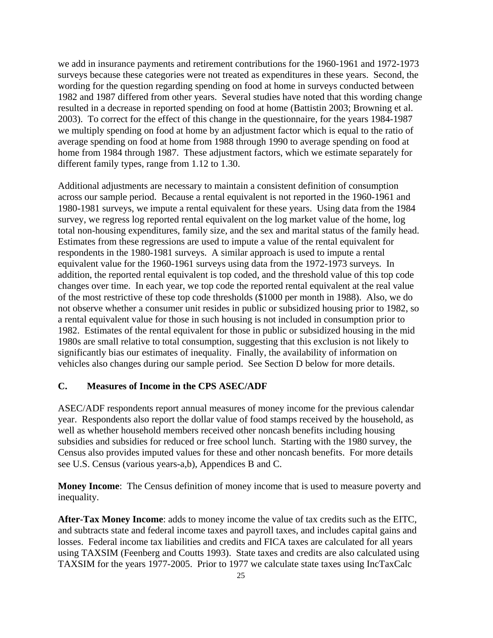we add in insurance payments and retirement contributions for the 1960-1961 and 1972-1973 surveys because these categories were not treated as expenditures in these years. Second, the wording for the question regarding spending on food at home in surveys conducted between 1982 and 1987 differed from other years. Several studies have noted that this wording change resulted in a decrease in reported spending on food at home (Battistin 2003; Browning et al. 2003). To correct for the effect of this change in the questionnaire, for the years 1984-1987 we multiply spending on food at home by an adjustment factor which is equal to the ratio of average spending on food at home from 1988 through 1990 to average spending on food at home from 1984 through 1987. These adjustment factors, which we estimate separately for different family types, range from 1.12 to 1.30.

Additional adjustments are necessary to maintain a consistent definition of consumption across our sample period. Because a rental equivalent is not reported in the 1960-1961 and 1980-1981 surveys, we impute a rental equivalent for these years. Using data from the 1984 survey, we regress log reported rental equivalent on the log market value of the home, log total non-housing expenditures, family size, and the sex and marital status of the family head. Estimates from these regressions are used to impute a value of the rental equivalent for respondents in the 1980-1981 surveys. A similar approach is used to impute a rental equivalent value for the 1960-1961 surveys using data from the 1972-1973 surveys. In addition, the reported rental equivalent is top coded, and the threshold value of this top code changes over time. In each year, we top code the reported rental equivalent at the real value of the most restrictive of these top code thresholds (\$1000 per month in 1988). Also, we do not observe whether a consumer unit resides in public or subsidized housing prior to 1982, so a rental equivalent value for those in such housing is not included in consumption prior to 1982. Estimates of the rental equivalent for those in public or subsidized housing in the mid 1980s are small relative to total consumption, suggesting that this exclusion is not likely to significantly bias our estimates of inequality. Finally, the availability of information on vehicles also changes during our sample period. See Section D below for more details.

# **C. Measures of Income in the CPS ASEC/ADF**

ASEC/ADF respondents report annual measures of money income for the previous calendar year. Respondents also report the dollar value of food stamps received by the household, as well as whether household members received other noncash benefits including housing subsidies and subsidies for reduced or free school lunch. Starting with the 1980 survey, the Census also provides imputed values for these and other noncash benefits. For more details see U.S. Census (various years-a,b), Appendices B and C.

**Money Income**: The Census definition of money income that is used to measure poverty and inequality.

**After-Tax Money Income**: adds to money income the value of tax credits such as the EITC, and subtracts state and federal income taxes and payroll taxes, and includes capital gains and losses. Federal income tax liabilities and credits and FICA taxes are calculated for all years using TAXSIM (Feenberg and Coutts 1993). State taxes and credits are also calculated using TAXSIM for the years 1977-2005. Prior to 1977 we calculate state taxes using IncTaxCalc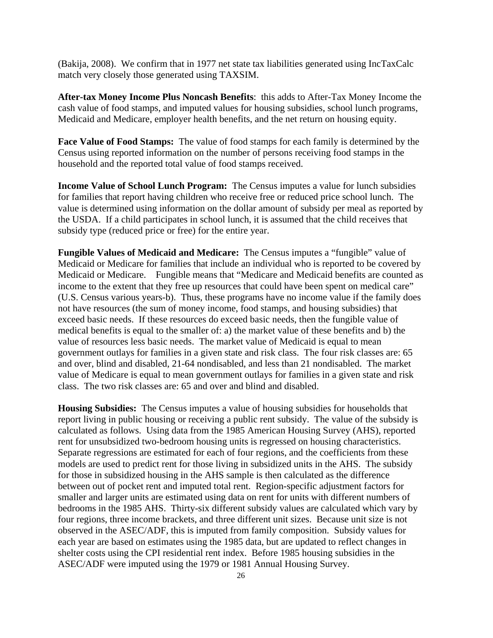(Bakija, 2008). We confirm that in 1977 net state tax liabilities generated using IncTaxCalc match very closely those generated using TAXSIM.

**After-tax Money Income Plus Noncash Benefits**: this adds to After-Tax Money Income the cash value of food stamps, and imputed values for housing subsidies, school lunch programs, Medicaid and Medicare, employer health benefits, and the net return on housing equity.

**Face Value of Food Stamps:** The value of food stamps for each family is determined by the Census using reported information on the number of persons receiving food stamps in the household and the reported total value of food stamps received.

**Income Value of School Lunch Program:** The Census imputes a value for lunch subsidies for families that report having children who receive free or reduced price school lunch. The value is determined using information on the dollar amount of subsidy per meal as reported by the USDA. If a child participates in school lunch, it is assumed that the child receives that subsidy type (reduced price or free) for the entire year.

**Fungible Values of Medicaid and Medicare:** The Census imputes a "fungible" value of Medicaid or Medicare for families that include an individual who is reported to be covered by Medicaid or Medicare. Fungible means that "Medicare and Medicaid benefits are counted as income to the extent that they free up resources that could have been spent on medical care" (U.S. Census various years-b). Thus, these programs have no income value if the family does not have resources (the sum of money income, food stamps, and housing subsidies) that exceed basic needs. If these resources do exceed basic needs, then the fungible value of medical benefits is equal to the smaller of: a) the market value of these benefits and b) the value of resources less basic needs. The market value of Medicaid is equal to mean government outlays for families in a given state and risk class. The four risk classes are: 65 and over, blind and disabled, 21-64 nondisabled, and less than 21 nondisabled. The market value of Medicare is equal to mean government outlays for families in a given state and risk class. The two risk classes are: 65 and over and blind and disabled.

**Housing Subsidies:** The Census imputes a value of housing subsidies for households that report living in public housing or receiving a public rent subsidy. The value of the subsidy is calculated as follows. Using data from the 1985 American Housing Survey (AHS), reported rent for unsubsidized two-bedroom housing units is regressed on housing characteristics. Separate regressions are estimated for each of four regions, and the coefficients from these models are used to predict rent for those living in subsidized units in the AHS. The subsidy for those in subsidized housing in the AHS sample is then calculated as the difference between out of pocket rent and imputed total rent. Region-specific adjustment factors for smaller and larger units are estimated using data on rent for units with different numbers of bedrooms in the 1985 AHS. Thirty-six different subsidy values are calculated which vary by four regions, three income brackets, and three different unit sizes. Because unit size is not observed in the ASEC/ADF, this is imputed from family composition. Subsidy values for each year are based on estimates using the 1985 data, but are updated to reflect changes in shelter costs using the CPI residential rent index. Before 1985 housing subsidies in the ASEC/ADF were imputed using the 1979 or 1981 Annual Housing Survey.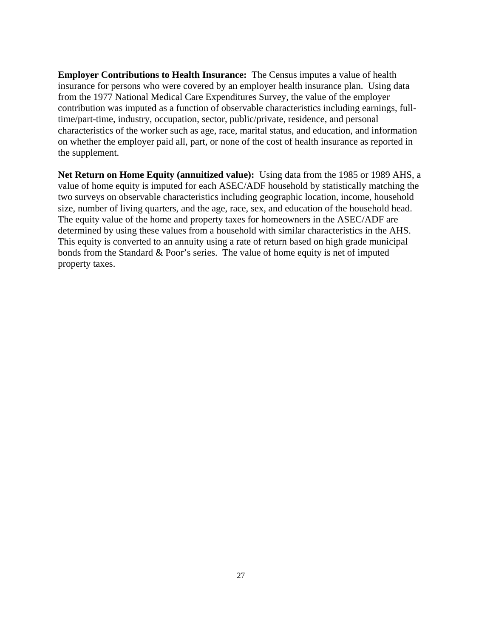**Employer Contributions to Health Insurance:** The Census imputes a value of health insurance for persons who were covered by an employer health insurance plan. Using data from the 1977 National Medical Care Expenditures Survey, the value of the employer contribution was imputed as a function of observable characteristics including earnings, fulltime/part-time, industry, occupation, sector, public/private, residence, and personal characteristics of the worker such as age, race, marital status, and education, and information on whether the employer paid all, part, or none of the cost of health insurance as reported in the supplement.

**Net Return on Home Equity (annuitized value):** Using data from the 1985 or 1989 AHS, a value of home equity is imputed for each ASEC/ADF household by statistically matching the two surveys on observable characteristics including geographic location, income, household size, number of living quarters, and the age, race, sex, and education of the household head. The equity value of the home and property taxes for homeowners in the ASEC/ADF are determined by using these values from a household with similar characteristics in the AHS. This equity is converted to an annuity using a rate of return based on high grade municipal bonds from the Standard & Poor's series. The value of home equity is net of imputed property taxes.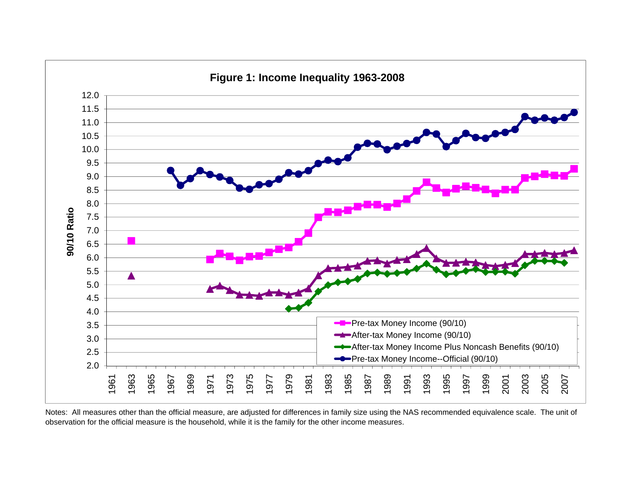

Notes: All measures other than the official measure, are adjusted for differences in family size using the NAS recommended equivalence scale. The unit of observation for the official measure is the household, while it is the family for the other income measures.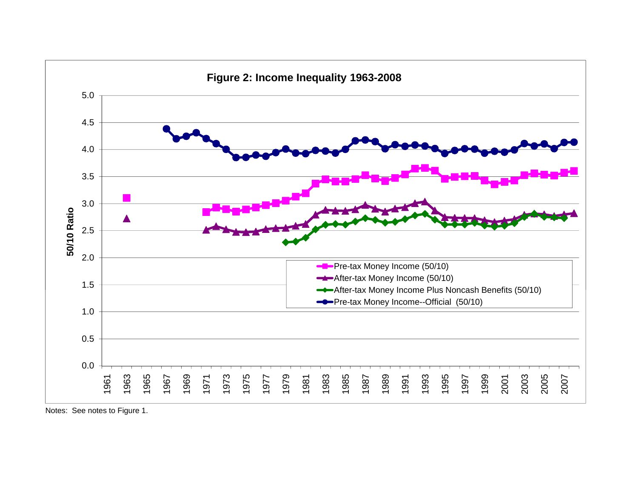

Notes: See notes to Figure 1.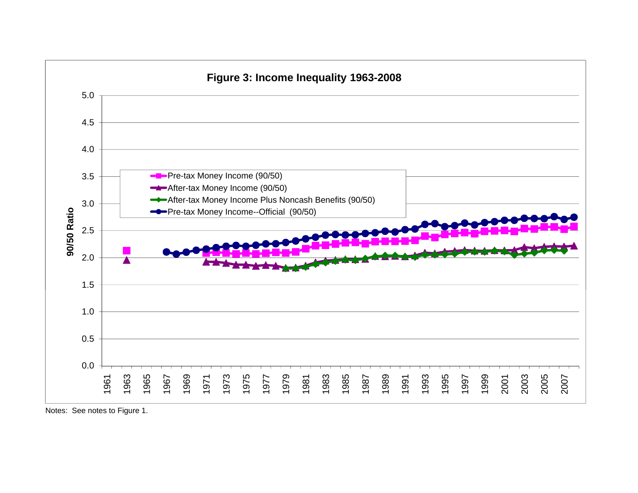

Notes: See notes to Figure 1.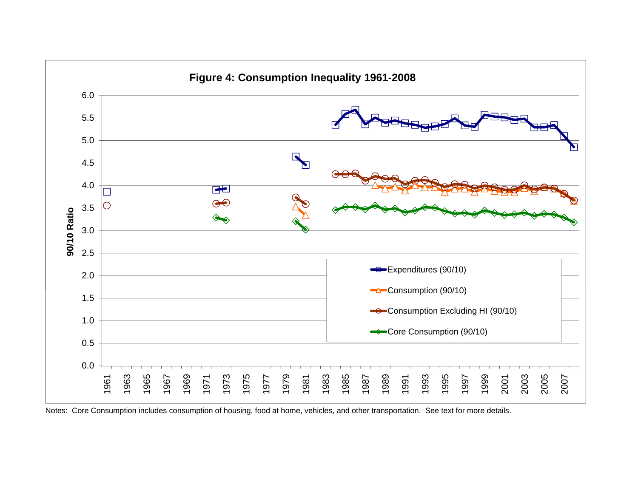

Notes: Core Consumption includes consumption of housing, food at home, vehicles, and other transportation. See text for more details.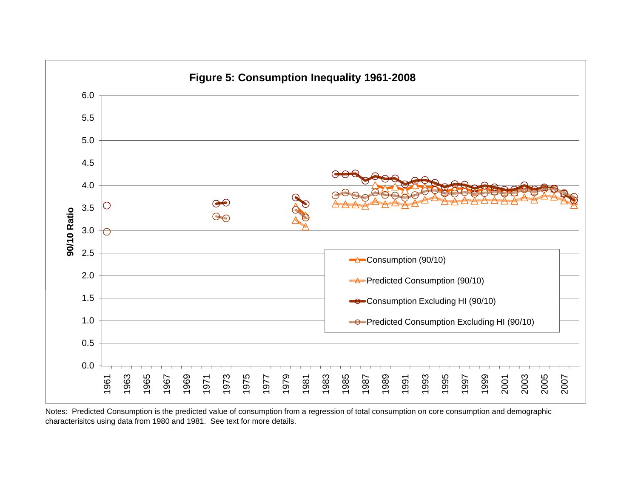

Notes: Predicted Consumption is the predicted value of consumption from a regression of total consumption on core consumption and demographic characterisitcs using data from 1980 and 1981. See text for more details.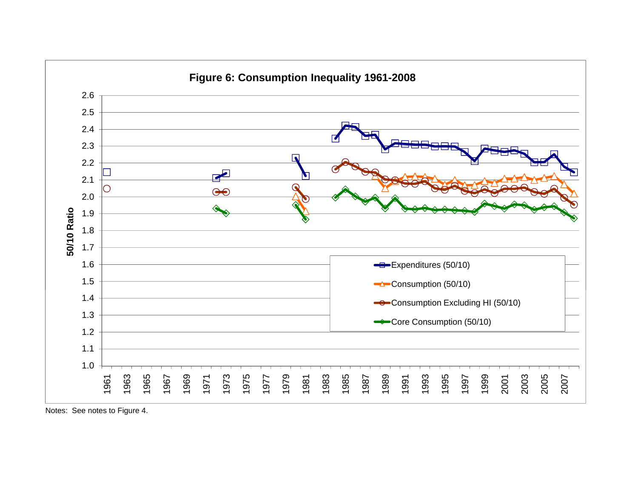

Notes: See notes to Figure 4.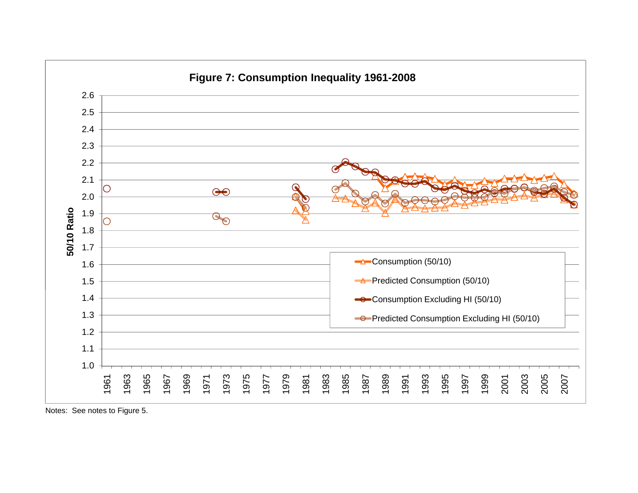

Notes: See notes to Figure 5.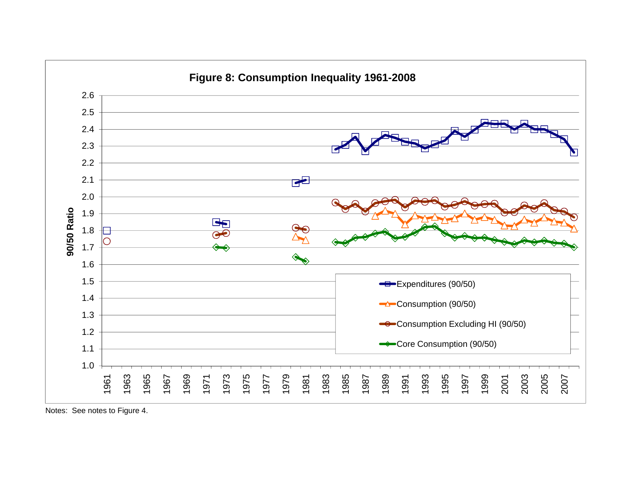

Notes: See notes to Figure 4.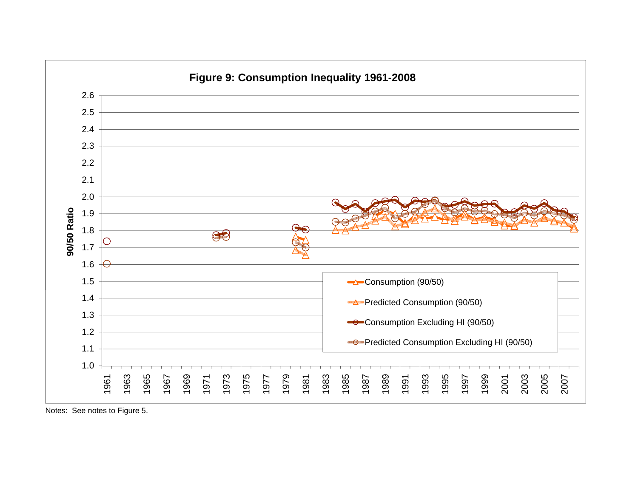

Notes: See notes to Figure 5.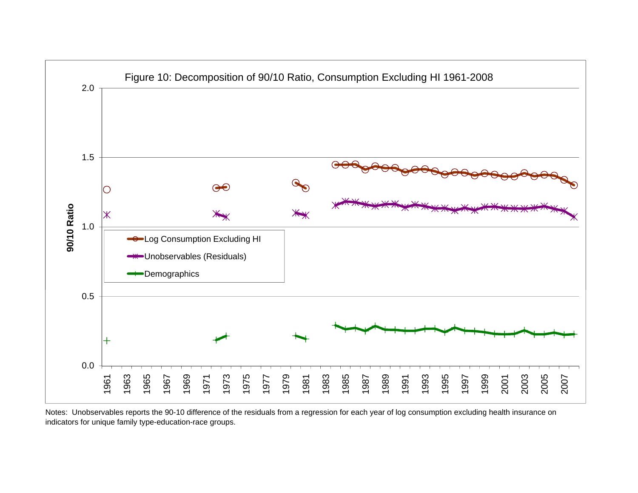

Notes: Unobservables reports the 90-10 difference of the residuals from a regression for each year of log consumption excluding health insurance on indicators for unique family type-education-race groups.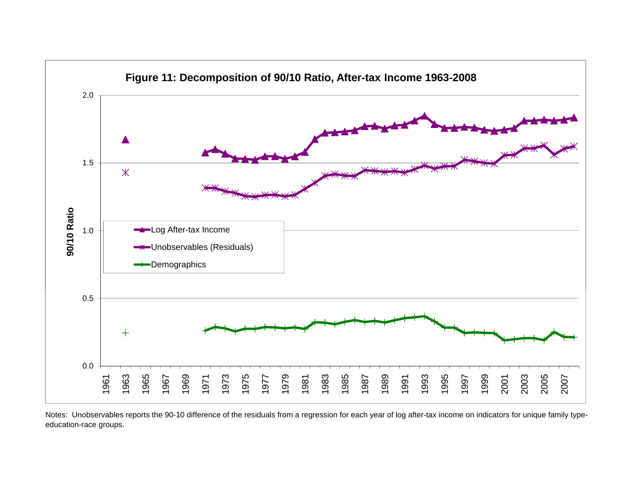

Notes: Unobservables reports the 90-10 difference of the residuals from a regression for each year of log after-tax income on indicators for unique family typeeducation-race groups.